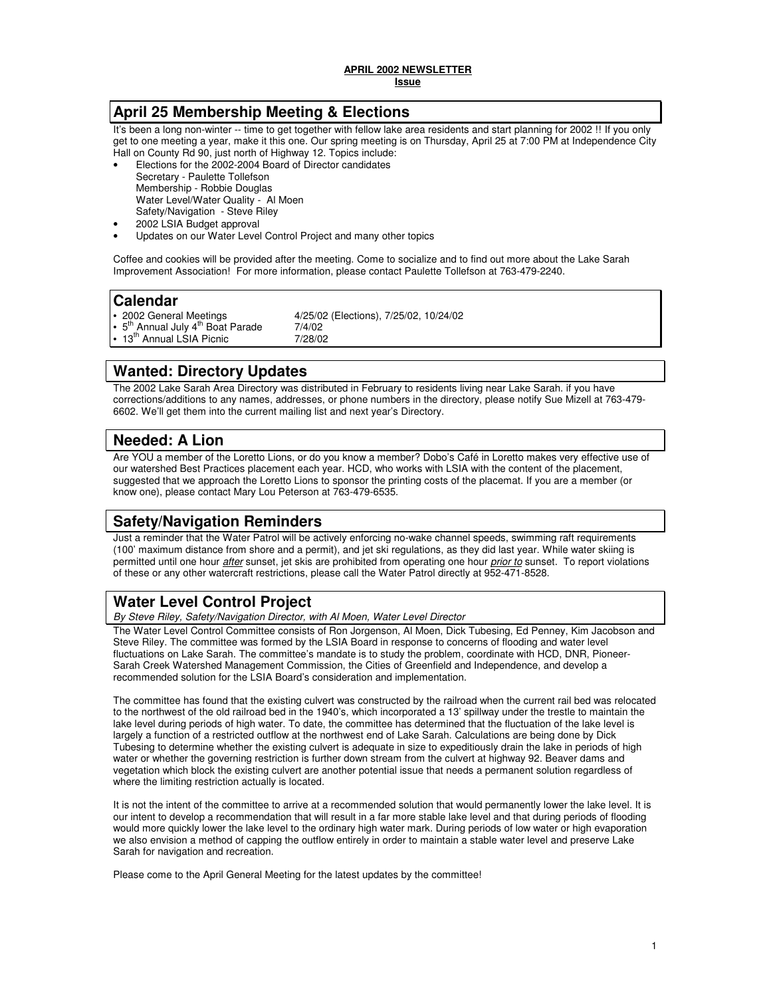# **April 25 Membership Meeting & Elections**

It's been a long non-winter -- time to get together with fellow lake area residents and start planning for 2002 !! If you only get to one meeting a year, make it this one. Our spring meeting is on Thursday, April 25 at 7:00 PM at Independence City Hall on County Rd 90, just north of Highway 12. Topics include:

- Elections for the 2002-2004 Board of Director candidates Secretary - Paulette Tollefson Membership - Robbie Douglas Water Level/Water Quality - Al Moen Safety/Navigation - Steve Riley
- 2002 LSIA Budget approval
- Updates on our Water Level Control Project and many other topics

Coffee and cookies will be provided after the meeting. Come to socialize and to find out more about the Lake Sarah Improvement Association! For more information, please contact Paulette Tollefson at 763-479-2240.

### **Calendar**

 $5^{th}$  Annual July  $4^{th}$  Boat Parade  $7/4/02$ <br>13<sup>th</sup> Annual LSIA Picnic  $7/28/02$ 13<sup>th</sup> Annual LSIA Picnic

2002 General Meetings  $4/25/02$  (Elections), 7/25/02, 10/24/02<br> $5^{th}$  Annual July 4<sup>th</sup> Boat Parade  $7/4/02$ 

# **Wanted: Directory Updates**

The 2002 Lake Sarah Area Directory was distributed in February to residents living near Lake Sarah. if you have corrections/additions to any names, addresses, or phone numbers in the directory, please notify Sue Mizell at 763-479- 6602. We'll get them into the current mailing list and next year's Directory.

# **Needed: A Lion**

Are YOU a member of the Loretto Lions, or do you know a member? Dobo's Café in Loretto makes very effective use of our watershed Best Practices placement each year. HCD, who works with LSIA with the content of the placement, suggested that we approach the Loretto Lions to sponsor the printing costs of the placemat. If you are a member (or know one), please contact Mary Lou Peterson at 763-479-6535.

# **Safety/Navigation Reminders**

Just a reminder that the Water Patrol will be actively enforcing no-wake channel speeds, swimming raft requirements (100' maximum distance from shore and a permit), and jet ski regulations, as they did last year. While water skiing is permitted until one hour *after* sunset, jet skis are prohibited from operating one hour *prior to* sunset. To report violations of these or any other watercraft restrictions, please call the Water Patrol directly at 952-471-8528.

# **Water Level Control Project**

By Steve Riley, Safety/Navigation Director, with Al Moen, Water Level Director

The Water Level Control Committee consists of Ron Jorgenson, Al Moen, Dick Tubesing, Ed Penney, Kim Jacobson and Steve Riley. The committee was formed by the LSIA Board in response to concerns of flooding and water level fluctuations on Lake Sarah. The committee's mandate is to study the problem, coordinate with HCD, DNR, Pioneer-Sarah Creek Watershed Management Commission, the Cities of Greenfield and Independence, and develop a recommended solution for the LSIA Board's consideration and implementation.

The committee has found that the existing culvert was constructed by the railroad when the current rail bed was relocated to the northwest of the old railroad bed in the 1940's, which incorporated a 13' spillway under the trestle to maintain the lake level during periods of high water. To date, the committee has determined that the fluctuation of the lake level is largely a function of a restricted outflow at the northwest end of Lake Sarah. Calculations are being done by Dick Tubesing to determine whether the existing culvert is adequate in size to expeditiously drain the lake in periods of high water or whether the governing restriction is further down stream from the culvert at highway 92. Beaver dams and vegetation which block the existing culvert are another potential issue that needs a permanent solution regardless of where the limiting restriction actually is located.

It is not the intent of the committee to arrive at a recommended solution that would permanently lower the lake level. It is our intent to develop a recommendation that will result in a far more stable lake level and that during periods of flooding would more quickly lower the lake level to the ordinary high water mark. During periods of low water or high evaporation we also envision a method of capping the outflow entirely in order to maintain a stable water level and preserve Lake Sarah for navigation and recreation.

Please come to the April General Meeting for the latest updates by the committee!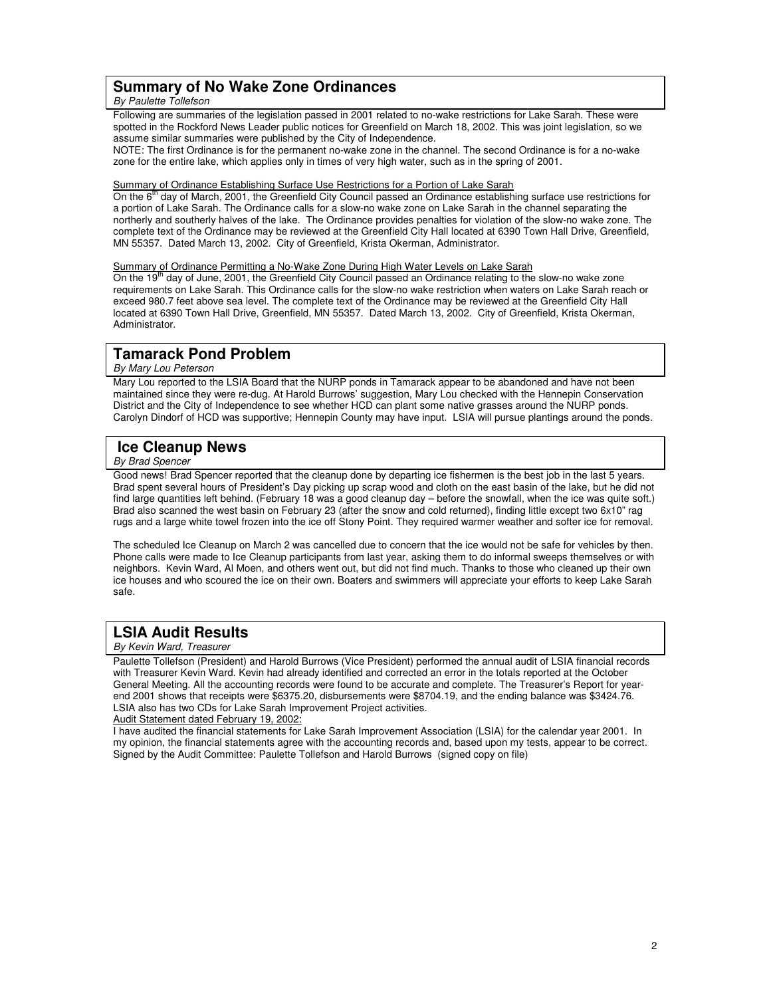### **Summary of No Wake Zone Ordinances**

#### By Paulette Tollefson

Following are summaries of the legislation passed in 2001 related to no-wake restrictions for Lake Sarah. These were spotted in the Rockford News Leader public notices for Greenfield on March 18, 2002. This was joint legislation, so we assume similar summaries were published by the City of Independence.

NOTE: The first Ordinance is for the permanent no-wake zone in the channel. The second Ordinance is for a no-wake zone for the entire lake, which applies only in times of very high water, such as in the spring of 2001.

#### Summary of Ordinance Establishing Surface Use Restrictions for a Portion of Lake Sarah

On the 6<sup>th</sup> day of March, 2001, the Greenfield City Council passed an Ordinance establishing surface use restrictions for a portion of Lake Sarah. The Ordinance calls for a slow-no wake zone on Lake Sarah in the channel separating the northerly and southerly halves of the lake. The Ordinance provides penalties for violation of the slow-no wake zone. The complete text of the Ordinance may be reviewed at the Greenfield City Hall located at 6390 Town Hall Drive, Greenfield, MN 55357. Dated March 13, 2002. City of Greenfield, Krista Okerman, Administrator.

<u>Summary of Ordinance Permitting a No-Wake Zone During High Water Levels on Lake Sarah</u><br>On the 19<sup>th</sup> day of June, 2001, the Greenfield City Council passed an Ordinance relating to the slow-no wake zone requirements on Lake Sarah. This Ordinance calls for the slow-no wake restriction when waters on Lake Sarah reach or exceed 980.7 feet above sea level. The complete text of the Ordinance may be reviewed at the Greenfield City Hall located at 6390 Town Hall Drive, Greenfield, MN 55357. Dated March 13, 2002. City of Greenfield, Krista Okerman, Administrator.

# **Tamarack Pond Problem**

#### By Mary Lou Peterson

Mary Lou reported to the LSIA Board that the NURP ponds in Tamarack appear to be abandoned and have not been maintained since they were re-dug. At Harold Burrows' suggestion, Mary Lou checked with the Hennepin Conservation District and the City of Independence to see whether HCD can plant some native grasses around the NURP ponds. Carolyn Dindorf of HCD was supportive; Hennepin County may have input. LSIA will pursue plantings around the ponds.

# **Ice Cleanup News**

#### By Brad Spencer

Good news! Brad Spencer reported that the cleanup done by departing ice fishermen is the best job in the last 5 years. Brad spent several hours of President's Day picking up scrap wood and cloth on the east basin of the lake, but he did not find large quantities left behind. (February 18 was a good cleanup day – before the snowfall, when the ice was quite soft.) Brad also scanned the west basin on February 23 (after the snow and cold returned), finding little except two 6x10" rag rugs and a large white towel frozen into the ice off Stony Point. They required warmer weather and softer ice for removal.

The scheduled Ice Cleanup on March 2 was cancelled due to concern that the ice would not be safe for vehicles by then. Phone calls were made to Ice Cleanup participants from last year, asking them to do informal sweeps themselves or with neighbors. Kevin Ward, Al Moen, and others went out, but did not find much. Thanks to those who cleaned up their own ice houses and who scoured the ice on their own. Boaters and swimmers will appreciate your efforts to keep Lake Sarah safe.

# **LSIA Audit Results**

#### By Kevin Ward, Treasurer

Paulette Tollefson (President) and Harold Burrows (Vice President) performed the annual audit of LSIA financial records with Treasurer Kevin Ward. Kevin had already identified and corrected an error in the totals reported at the October General Meeting. All the accounting records were found to be accurate and complete. The Treasurer's Report for yearend 2001 shows that receipts were \$6375.20, disbursements were \$8704.19, and the ending balance was \$3424.76. LSIA also has two CDs for Lake Sarah Improvement Project activities.

Audit Statement dated February 19, 2002:

I have audited the financial statements for Lake Sarah Improvement Association (LSIA) for the calendar year 2001. In my opinion, the financial statements agree with the accounting records and, based upon my tests, appear to be correct. Signed by the Audit Committee: Paulette Tollefson and Harold Burrows (signed copy on file)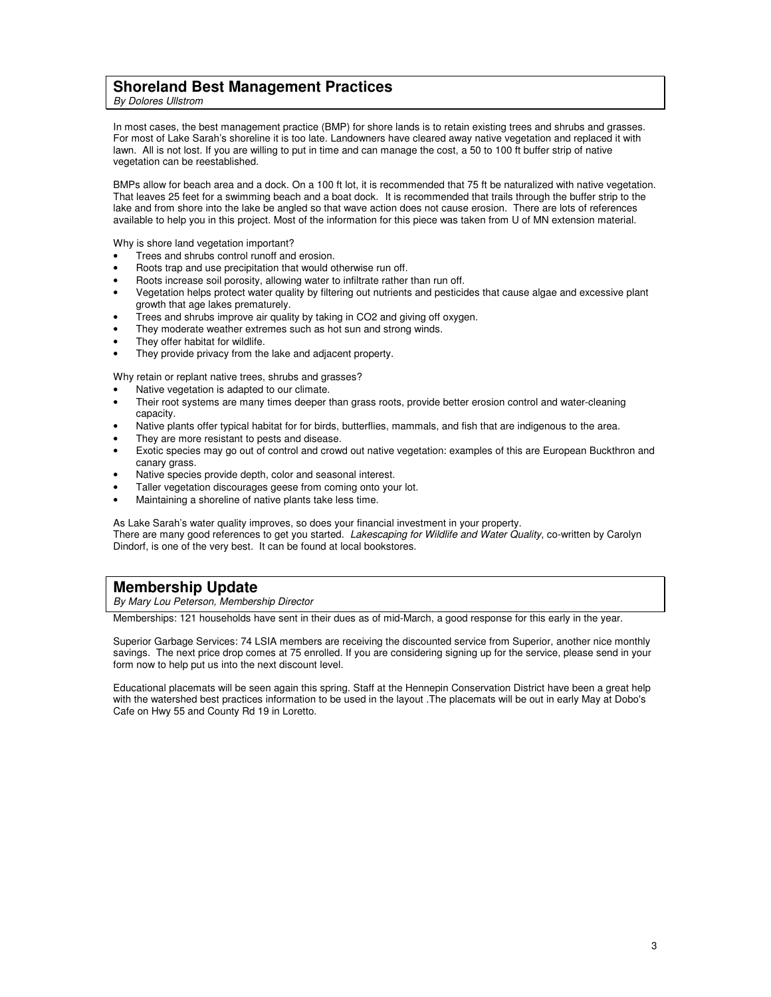### **Shoreland Best Management Practices**

By Dolores Ullstrom

In most cases, the best management practice (BMP) for shore lands is to retain existing trees and shrubs and grasses. For most of Lake Sarah's shoreline it is too late. Landowners have cleared away native vegetation and replaced it with lawn. All is not lost. If you are willing to put in time and can manage the cost, a 50 to 100 ft buffer strip of native vegetation can be reestablished.

BMPs allow for beach area and a dock. On a 100 ft lot, it is recommended that 75 ft be naturalized with native vegetation. That leaves 25 feet for a swimming beach and a boat dock. It is recommended that trails through the buffer strip to the lake and from shore into the lake be angled so that wave action does not cause erosion. There are lots of references available to help you in this project. Most of the information for this piece was taken from U of MN extension material.

Why is shore land vegetation important?

- Trees and shrubs control runoff and erosion.
- Roots trap and use precipitation that would otherwise run off.
- Roots increase soil porosity, allowing water to infiltrate rather than run off.
- Vegetation helps protect water quality by filtering out nutrients and pesticides that cause algae and excessive plant growth that age lakes prematurely.
- Trees and shrubs improve air quality by taking in CO2 and giving off oxygen.
- They moderate weather extremes such as hot sun and strong winds.
- They offer habitat for wildlife.
- They provide privacy from the lake and adjacent property.

Why retain or replant native trees, shrubs and grasses?

- Native vegetation is adapted to our climate.
- Their root systems are many times deeper than grass roots, provide better erosion control and water-cleaning capacity.
- Native plants offer typical habitat for for birds, butterflies, mammals, and fish that are indigenous to the area.
- They are more resistant to pests and disease.
- Exotic species may go out of control and crowd out native vegetation: examples of this are European Buckthron and canary grass.
- Native species provide depth, color and seasonal interest.
- Taller vegetation discourages geese from coming onto your lot.
- Maintaining a shoreline of native plants take less time.

As Lake Sarah's water quality improves, so does your financial investment in your property. There are many good references to get you started. Lakescaping for Wildlife and Water Quality, co-written by Carolyn Dindorf, is one of the very best. It can be found at local bookstores.

# **Membership Update**

By Mary Lou Peterson, Membership Director

Memberships: 121 households have sent in their dues as of mid-March, a good response for this early in the year.

Superior Garbage Services: 74 LSIA members are receiving the discounted service from Superior, another nice monthly savings. The next price drop comes at 75 enrolled. If you are considering signing up for the service, please send in your form now to help put us into the next discount level.

Educational placemats will be seen again this spring. Staff at the Hennepin Conservation District have been a great help with the watershed best practices information to be used in the layout .The placemats will be out in early May at Dobo's Cafe on Hwy 55 and County Rd 19 in Loretto.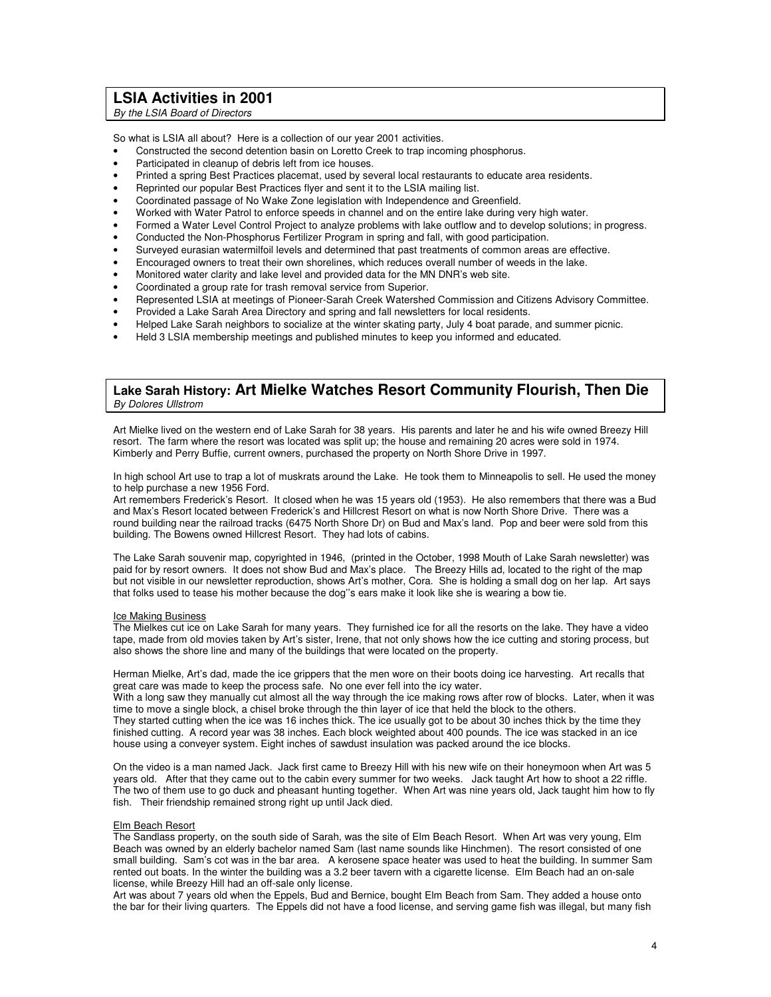### **LSIA Activities in 2001**

By the LSIA Board of Directors

So what is LSIA all about? Here is a collection of our year 2001 activities.

- Constructed the second detention basin on Loretto Creek to trap incoming phosphorus.
- Participated in cleanup of debris left from ice houses.
- Printed a spring Best Practices placemat, used by several local restaurants to educate area residents.
- Reprinted our popular Best Practices flyer and sent it to the LSIA mailing list.
- Coordinated passage of No Wake Zone legislation with Independence and Greenfield.
- Worked with Water Patrol to enforce speeds in channel and on the entire lake during very high water.
- Formed a Water Level Control Project to analyze problems with lake outflow and to develop solutions; in progress.
- Conducted the Non-Phosphorus Fertilizer Program in spring and fall, with good participation.
- Surveyed eurasian watermilfoil levels and determined that past treatments of common areas are effective.
- Encouraged owners to treat their own shorelines, which reduces overall number of weeds in the lake.
- Monitored water clarity and lake level and provided data for the MN DNR's web site.
- Coordinated a group rate for trash removal service from Superior.
- Represented LSIA at meetings of Pioneer-Sarah Creek Watershed Commission and Citizens Advisory Committee.
- Provided a Lake Sarah Area Directory and spring and fall newsletters for local residents.
- Helped Lake Sarah neighbors to socialize at the winter skating party, July 4 boat parade, and summer picnic.
- Held 3 LSIA membership meetings and published minutes to keep you informed and educated.

#### **Lake Sarah History: Art Mielke Watches Resort Community Flourish, Then Die**  By Dolores Ullstrom

Art Mielke lived on the western end of Lake Sarah for 38 years. His parents and later he and his wife owned Breezy Hill resort. The farm where the resort was located was split up; the house and remaining 20 acres were sold in 1974. Kimberly and Perry Buffie, current owners, purchased the property on North Shore Drive in 1997.

In high school Art use to trap a lot of muskrats around the Lake. He took them to Minneapolis to sell. He used the money to help purchase a new 1956 Ford.

Art remembers Frederick's Resort. It closed when he was 15 years old (1953). He also remembers that there was a Bud and Max's Resort located between Frederick's and Hillcrest Resort on what is now North Shore Drive. There was a round building near the railroad tracks (6475 North Shore Dr) on Bud and Max's land. Pop and beer were sold from this building. The Bowens owned Hillcrest Resort. They had lots of cabins.

The Lake Sarah souvenir map, copyrighted in 1946, (printed in the October, 1998 Mouth of Lake Sarah newsletter) was paid for by resort owners. It does not show Bud and Max's place. The Breezy Hills ad, located to the right of the map but not visible in our newsletter reproduction, shows Art's mother, Cora. She is holding a small dog on her lap. Art says that folks used to tease his mother because the dog''s ears make it look like she is wearing a bow tie.

#### Ice Making Business

The Mielkes cut ice on Lake Sarah for many years. They furnished ice for all the resorts on the lake. They have a video tape, made from old movies taken by Art's sister, Irene, that not only shows how the ice cutting and storing process, but also shows the shore line and many of the buildings that were located on the property.

Herman Mielke, Art's dad, made the ice grippers that the men wore on their boots doing ice harvesting. Art recalls that great care was made to keep the process safe. No one ever fell into the icy water.

With a long saw they manually cut almost all the way through the ice making rows after row of blocks. Later, when it was time to move a single block, a chisel broke through the thin layer of ice that held the block to the others. They started cutting when the ice was 16 inches thick. The ice usually got to be about 30 inches thick by the time they finished cutting. A record year was 38 inches. Each block weighted about 400 pounds. The ice was stacked in an ice house using a conveyer system. Eight inches of sawdust insulation was packed around the ice blocks.

On the video is a man named Jack. Jack first came to Breezy Hill with his new wife on their honeymoon when Art was 5 years old. After that they came out to the cabin every summer for two weeks. Jack taught Art how to shoot a 22 riffle. The two of them use to go duck and pheasant hunting together. When Art was nine years old, Jack taught him how to fly fish. Their friendship remained strong right up until Jack died.

#### Elm Beach Resort

The Sandlass property, on the south side of Sarah, was the site of Elm Beach Resort. When Art was very young, Elm Beach was owned by an elderly bachelor named Sam (last name sounds like Hinchmen). The resort consisted of one small building. Sam's cot was in the bar area. A kerosene space heater was used to heat the building. In summer Sam rented out boats. In the winter the building was a 3.2 beer tavern with a cigarette license. Elm Beach had an on-sale license, while Breezy Hill had an off-sale only license.

Art was about 7 years old when the Eppels, Bud and Bernice, bought Elm Beach from Sam. They added a house onto the bar for their living quarters. The Eppels did not have a food license, and serving game fish was illegal, but many fish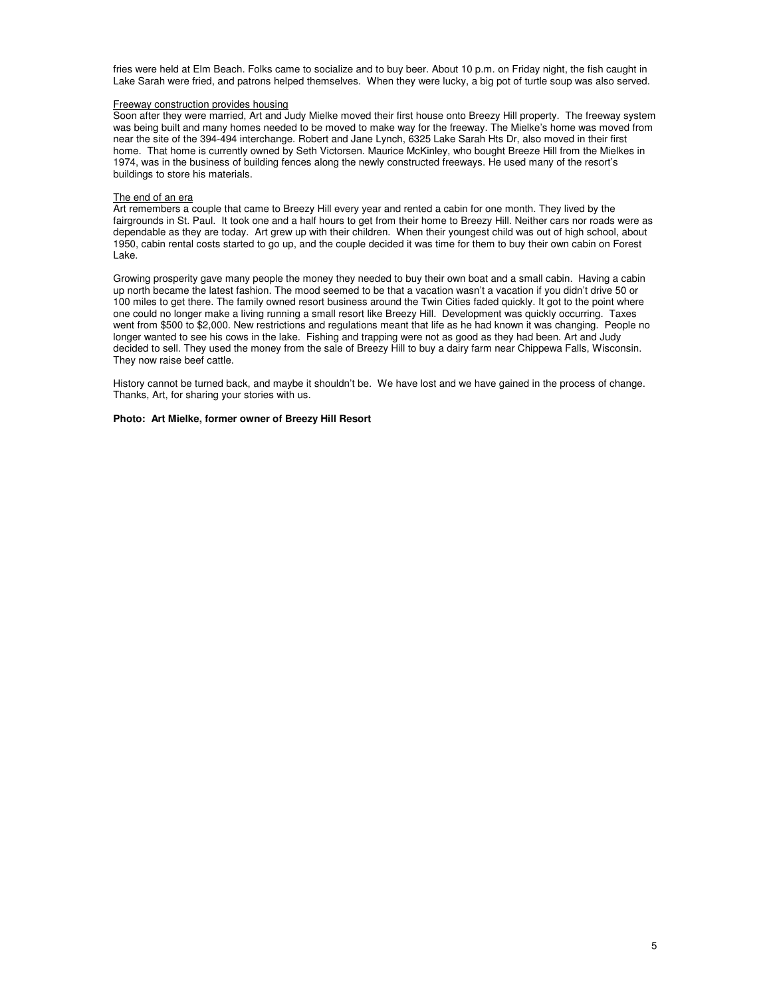fries were held at Elm Beach. Folks came to socialize and to buy beer. About 10 p.m. on Friday night, the fish caught in Lake Sarah were fried, and patrons helped themselves. When they were lucky, a big pot of turtle soup was also served.

#### Freeway construction provides housing

Soon after they were married, Art and Judy Mielke moved their first house onto Breezy Hill property. The freeway system was being built and many homes needed to be moved to make way for the freeway. The Mielke's home was moved from near the site of the 394-494 interchange. Robert and Jane Lynch, 6325 Lake Sarah Hts Dr, also moved in their first home. That home is currently owned by Seth Victorsen. Maurice McKinley, who bought Breeze Hill from the Mielkes in 1974, was in the business of building fences along the newly constructed freeways. He used many of the resort's buildings to store his materials.

#### The end of an era

Art remembers a couple that came to Breezy Hill every year and rented a cabin for one month. They lived by the fairgrounds in St. Paul. It took one and a half hours to get from their home to Breezy Hill. Neither cars nor roads were as dependable as they are today. Art grew up with their children. When their youngest child was out of high school, about 1950, cabin rental costs started to go up, and the couple decided it was time for them to buy their own cabin on Forest Lake.

Growing prosperity gave many people the money they needed to buy their own boat and a small cabin. Having a cabin up north became the latest fashion. The mood seemed to be that a vacation wasn't a vacation if you didn't drive 50 or 100 miles to get there. The family owned resort business around the Twin Cities faded quickly. It got to the point where one could no longer make a living running a small resort like Breezy Hill. Development was quickly occurring. Taxes went from \$500 to \$2,000. New restrictions and regulations meant that life as he had known it was changing. People no longer wanted to see his cows in the lake. Fishing and trapping were not as good as they had been. Art and Judy decided to sell. They used the money from the sale of Breezy Hill to buy a dairy farm near Chippewa Falls, Wisconsin. They now raise beef cattle.

History cannot be turned back, and maybe it shouldn't be. We have lost and we have gained in the process of change. Thanks, Art, for sharing your stories with us.

#### **Photo: Art Mielke, former owner of Breezy Hill Resort**